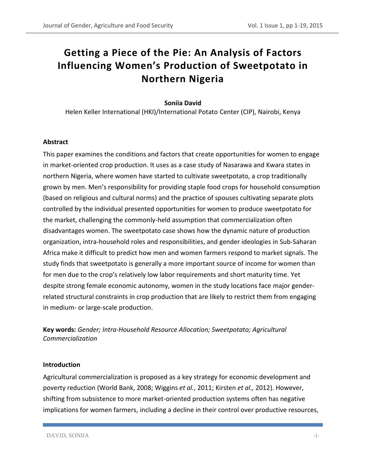# **Getting a Piece of the Pie: An Analysis of Factors Influencing Women's Production of Sweetpotato in Northern Nigeria**

# **Soniia David**

Helen Keller International (HKI)/International Potato Center (CIP), Nairobi, Kenya

# **Abstract**

This paper examines the conditions and factors that create opportunities for women to engage in market-oriented crop production. It uses as a case study of Nasarawa and Kwara states in northern Nigeria, where women have started to cultivate sweetpotato, a crop traditionally grown by men. Men's responsibility for providing staple food crops for household consumption (based on religious and cultural norms) and the practice of spouses cultivating separate plots controlled by the individual presented opportunities for women to produce sweetpotato for the market, challenging the commonly-held assumption that commercialization often disadvantages women. The sweetpotato case shows how the dynamic nature of production organization, intra-household roles and responsibilities, and gender ideologies in Sub-Saharan Africa make it difficult to predict how men and women farmers respond to market signals. The study finds that sweetpotato is generally a more important source of income for women than for men due to the crop's relatively low labor requirements and short maturity time. Yet despite strong female economic autonomy, women in the study locations face major genderrelated structural constraints in crop production that are likely to restrict them from engaging in medium- or large-scale production.

**Key words:** *Gender; Intra-Household Resource Allocation; Sweetpotato; Agricultural Commercialization*

#### **Introduction**

Agricultural commercialization is proposed as a key strategy for economic development and poverty reduction (World Bank, 2008; Wiggins *et al.*, 2011; Kirsten *et al.,* 2012). However, shifting from subsistence to more market-oriented production systems often has negative implications for women farmers, including a decline in their control over productive resources,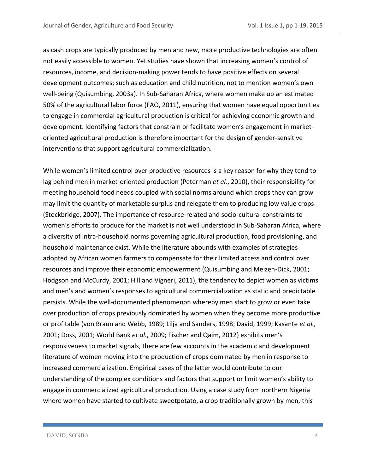as cash crops are typically produced by men and new, more productive technologies are often not easily accessible to women. Yet studies have shown that increasing women's control of resources, income, and decision-making power tends to have positive effects on several development outcomes; such as education and child nutrition, not to mention women's own well-being (Quisumbing, 2003a). In Sub-Saharan Africa, where women make up an estimated 50% of the agricultural labor force (FAO, 2011), ensuring that women have equal opportunities to engage in commercial agricultural production is critical for achieving economic growth and development. Identifying factors that constrain or facilitate women's engagement in marketoriented agricultural production is therefore important for the design of gender-sensitive interventions that support agricultural commercialization.

While women's limited control over productive resources is a key reason for why they tend to lag behind men in market-oriented production (Peterman *et al.*, 2010), their responsibility for meeting household food needs coupled with social norms around which crops they can grow may limit the quantity of marketable surplus and relegate them to producing low value crops (Stockbridge, 2007). The importance of resource-related and socio-cultural constraints to women's efforts to produce for the market is not well understood in Sub-Saharan Africa, where a diversity of intra-household norms governing agricultural production, food provisioning, and household maintenance exist. While the literature abounds with examples of strategies adopted by African women farmers to compensate for their limited access and control over resources and improve their economic empowerment (Quisumbing and Meizen-Dick, 2001; Hodgson and McCurdy, 2001; Hill and Vigneri, 2011), the tendency to depict women as victims and men's and women's responses to agricultural commercialization as static and predictable persists. While the well-documented phenomenon whereby men start to grow or even take over production of crops previously dominated by women when they become more productive or profitable (von Braun and Webb, 1989; Lilja and Sanders, 1998; David, 1999; Kasante *et al.,* 2001; Doss, 2001; World Bank *et al.*, 2009; Fischer and Qaim, 2012) exhibits men's responsiveness to market signals, there are few accounts in the academic and development literature of women moving into the production of crops dominated by men in response to increased commercialization. Empirical cases of the latter would contribute to our understanding of the complex conditions and factors that support or limit women's ability to engage in commercialized agricultural production. Using a case study from northern Nigeria where women have started to cultivate sweetpotato, a crop traditionally grown by men, this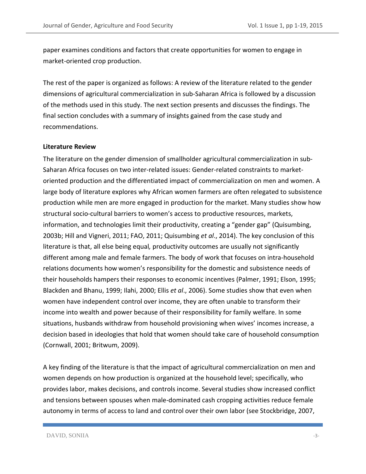paper examines conditions and factors that create opportunities for women to engage in market-oriented crop production.

The rest of the paper is organized as follows: A review of the literature related to the gender dimensions of agricultural commercialization in sub-Saharan Africa is followed by a discussion of the methods used in this study. The next section presents and discusses the findings. The final section concludes with a summary of insights gained from the case study and recommendations.

#### **Literature Review**

The literature on the gender dimension of smallholder agricultural commercialization in sub-Saharan Africa focuses on two inter-related issues: Gender-related constraints to marketoriented production and the differentiated impact of commercialization on men and women. A large body of literature explores why African women farmers are often relegated to subsistence production while men are more engaged in production for the market. Many studies show how structural socio-cultural barriers to women's access to productive resources, markets, information, and technologies limit their productivity, creating a "gender gap" (Quisumbing, 2003b; Hill and Vigneri, 2011; FAO, 2011; Quisumbing *et al*., 2014). The key conclusion of this literature is that, all else being equal*,* productivity outcomes are usually not significantly different among male and female farmers. The body of work that focuses on intra-household relations documents how women's responsibility for the domestic and subsistence needs of their households hampers their responses to economic incentives (Palmer, 1991; Elson, 1995; Blackden and Bhanu, 1999; Ilahi, 2000; Ellis *et al*., 2006). Some studies show that even when women have independent control over income, they are often unable to transform their income into wealth and power because of their responsibility for family welfare. In some situations, husbands withdraw from household provisioning when wives' incomes increase, a decision based in ideologies that hold that women should take care of household consumption (Cornwall, 2001; Britwum, 2009).

A key finding of the literature is that the impact of agricultural commercialization on men and women depends on how production is organized at the household level; specifically, who provides labor, makes decisions, and controls income. Several studies show increased conflict and tensions between spouses when male-dominated cash cropping activities reduce female autonomy in terms of access to land and control over their own labor (see Stockbridge, 2007,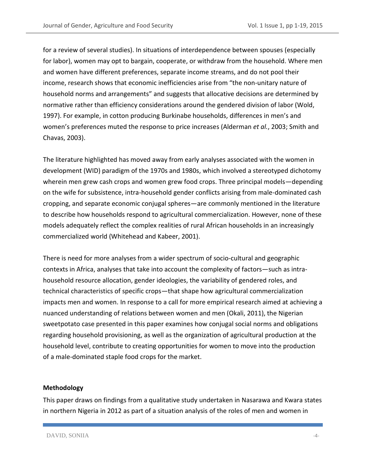for a review of several studies). In situations of interdependence between spouses (especially for labor), women may opt to bargain, cooperate, or withdraw from the household. Where men and women have different preferences, separate income streams, and do not pool their income, research shows that economic inefficiencies arise from "the non-unitary nature of household norms and arrangements" and suggests that allocative decisions are determined by normative rather than efficiency considerations around the gendered division of labor (Wold, 1997). For example, in cotton producing Burkinabe households, differences in men's and women's preferences muted the response to price increases (Alderman *et al.*, 2003; Smith and Chavas, 2003).

The literature highlighted has moved away from early analyses associated with the women in development (WID) paradigm of the 1970s and 1980s, which involved a stereotyped dichotomy wherein men grew cash crops and women grew food crops. Three principal models—depending on the wife for subsistence, intra-household gender conflicts arising from male-dominated cash cropping, and separate economic conjugal spheres—are commonly mentioned in the literature to describe how households respond to agricultural commercialization. However, none of these models adequately reflect the complex realities of rural African households in an increasingly commercialized world (Whitehead and Kabeer, 2001).

There is need for more analyses from a wider spectrum of socio-cultural and geographic contexts in Africa, analyses that take into account the complexity of factors—such as intrahousehold resource allocation, gender ideologies, the variability of gendered roles, and technical characteristics of specific crops—that shape how agricultural commercialization impacts men and women. In response to a call for more empirical research aimed at achieving a nuanced understanding of relations between women and men (Okali, 2011), the Nigerian sweetpotato case presented in this paper examines how conjugal social norms and obligations regarding household provisioning, as well as the organization of agricultural production at the household level, contribute to creating opportunities for women to move into the production of a male-dominated staple food crops for the market.

#### **Methodology**

This paper draws on findings from a qualitative study undertaken in Nasarawa and Kwara states in northern Nigeria in 2012 as part of a situation analysis of the roles of men and women in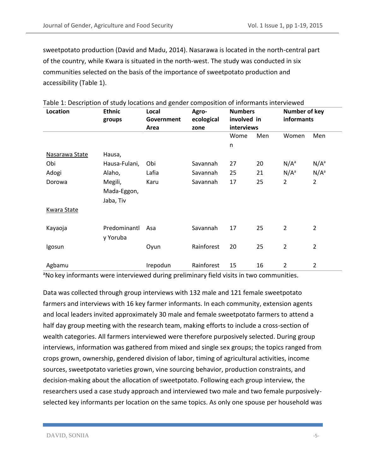sweetpotato production (David and Madu, 2014). Nasarawa is located in the north-central part of the country, while Kwara is situated in the north-west. The study was conducted in six communities selected on the basis of the importance of sweetpotato production and accessibility (Table 1).

| Location           | <b>Ethnic</b><br>groups | Local<br>Government | Agro-<br>ecological | $\frac{1}{2}$ . Second priori or state from the and $\frac{1}{2}$ change composition or innormants inter th<br><b>Numbers</b><br>involved in<br>interviews |     | Number of key<br>informants |                |
|--------------------|-------------------------|---------------------|---------------------|------------------------------------------------------------------------------------------------------------------------------------------------------------|-----|-----------------------------|----------------|
|                    |                         | Area                | zone                |                                                                                                                                                            |     |                             |                |
|                    |                         |                     |                     | Wome                                                                                                                                                       | Men | Women                       | Men            |
|                    |                         |                     |                     | n                                                                                                                                                          |     |                             |                |
| Nasarawa State     | Hausa,                  |                     |                     |                                                                                                                                                            |     |                             |                |
| Obi                | Hausa-Fulani,           | Obi                 | Savannah            | 27                                                                                                                                                         | 20  | $N/A^a$                     | $N/A^a$        |
| Adogi              | Alaho,                  | Lafia               | Savannah            | 25                                                                                                                                                         | 21  | $N/A^a$                     | $N/A^a$        |
| Dorowa             | Megili,                 | Karu                | Savannah            | 17                                                                                                                                                         | 25  | $\overline{2}$              | $\overline{2}$ |
|                    | Mada-Eggon,             |                     |                     |                                                                                                                                                            |     |                             |                |
|                    | Jaba, Tiv               |                     |                     |                                                                                                                                                            |     |                             |                |
| <b>Kwara State</b> |                         |                     |                     |                                                                                                                                                            |     |                             |                |
|                    |                         |                     |                     |                                                                                                                                                            |     |                             |                |
| Kayaoja            | Predominantl            | Asa                 | Savannah            | 17                                                                                                                                                         | 25  | $\overline{2}$              | $\overline{2}$ |
|                    | y Yoruba                |                     |                     |                                                                                                                                                            |     |                             |                |
| Igosun             |                         | Oyun                | Rainforest          | 20                                                                                                                                                         | 25  | 2                           | $\overline{2}$ |
|                    |                         |                     |                     |                                                                                                                                                            |     |                             |                |
| Agbamu             |                         | Irepodun            | Rainforest          | 15                                                                                                                                                         | 16  | $\overline{2}$              | $\overline{2}$ |

Table 1: Description of study locations and gender composition of informants interviewed

<sup>a</sup>No key informants were interviewed during preliminary field visits in two communities.

Data was collected through group interviews with 132 male and 121 female sweetpotato farmers and interviews with 16 key farmer informants. In each community, extension agents and local leaders invited approximately 30 male and female sweetpotato farmers to attend a half day group meeting with the research team, making efforts to include a cross-section of wealth categories. All farmers interviewed were therefore purposively selected. During group interviews, information was gathered from mixed and single sex groups; the topics ranged from crops grown, ownership, gendered division of labor, timing of agricultural activities, income sources, sweetpotato varieties grown, vine sourcing behavior, production constraints, and decision-making about the allocation of sweetpotato. Following each group interview, the researchers used a case study approach and interviewed two male and two female purposivelyselected key informants per location on the same topics. As only one spouse per household was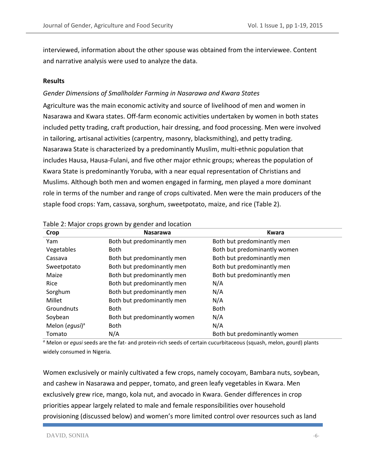interviewed, information about the other spouse was obtained from the interviewee. Content and narrative analysis were used to analyze the data.

#### **Results**

# *Gender Dimensions of Smallholder Farming in Nasarawa and Kwara States*

Agriculture was the main economic activity and source of livelihood of men and women in Nasarawa and Kwara states. Off-farm economic activities undertaken by women in both states included petty trading, craft production, hair dressing, and food processing. Men were involved in tailoring, artisanal activities (carpentry, masonry, blacksmithing), and petty trading. Nasarawa State is characterized by a predominantly Muslim, multi-ethnic population that includes Hausa, Hausa-Fulani, and five other major ethnic groups; whereas the population of Kwara State is predominantly Yoruba, with a near equal representation of Christians and Muslims. Although both men and women engaged in farming, men played a more dominant role in terms of the number and range of crops cultivated. Men were the main producers of the staple food crops: Yam, cassava, sorghum, sweetpotato, maize, and rice (Table 2).

| Crop                       | <b>Nasarawa</b>              | <b>Kwara</b>                 |
|----------------------------|------------------------------|------------------------------|
| Yam                        | Both but predominantly men   | Both but predominantly men   |
| Vegetables                 | <b>Both</b>                  | Both but predominantly women |
| Cassava                    | Both but predominantly men   | Both but predominantly men   |
| Sweetpotato                | Both but predominantly men   | Both but predominantly men   |
| Maize                      | Both but predominantly men   | Both but predominantly men   |
| Rice                       | Both but predominantly men   | N/A                          |
| Sorghum                    | Both but predominantly men   | N/A                          |
| Millet                     | Both but predominantly men   | N/A                          |
| Groundnuts                 | <b>Both</b>                  | <b>Both</b>                  |
| Soybean                    | Both but predominantly women | N/A                          |
| Melon (egusi) <sup>a</sup> | <b>Both</b>                  | N/A                          |
| Tomato                     | N/A                          | Both but predominantly women |

#### Table 2: Major crops grown by gender and location

*<sup>a</sup>* Melon or *egusi* seeds are the fat- and protein-rich seeds of certain cucurbitaceous (squash, melon, gourd) plants widely consumed in Nigeria.

Women exclusively or mainly cultivated a few crops, namely cocoyam, Bambara nuts, soybean, and cashew in Nasarawa and pepper, tomato, and green leafy vegetables in Kwara. Men exclusively grew rice, mango, kola nut, and avocado in Kwara. Gender differences in crop priorities appear largely related to male and female responsibilities over household provisioning (discussed below) and women's more limited control over resources such as land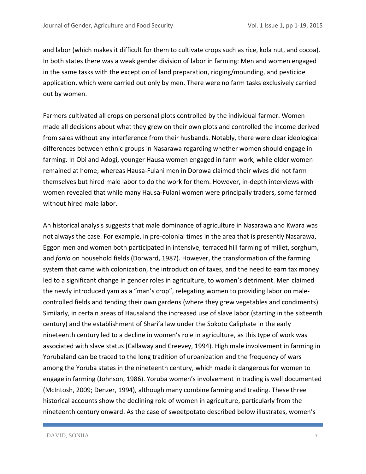and labor (which makes it difficult for them to cultivate crops such as rice, kola nut, and cocoa). In both states there was a weak gender division of labor in farming: Men and women engaged in the same tasks with the exception of land preparation, ridging/mounding, and pesticide application, which were carried out only by men. There were no farm tasks exclusively carried out by women.

Farmers cultivated all crops on personal plots controlled by the individual farmer. Women made all decisions about what they grew on their own plots and controlled the income derived from sales without any interference from their husbands. Notably, there were clear ideological differences between ethnic groups in Nasarawa regarding whether women should engage in farming. In Obi and Adogi, younger Hausa women engaged in farm work, while older women remained at home; whereas Hausa-Fulani men in Dorowa claimed their wives did not farm themselves but hired male labor to do the work for them. However, in-depth interviews with women revealed that while many Hausa-Fulani women were principally traders, some farmed without hired male labor.

An historical analysis suggests that male dominance of agriculture in Nasarawa and Kwara was not always the case. For example, in pre-colonial times in the area that is presently Nasarawa, Eggon men and women both participated in intensive, terraced hill farming of millet, sorghum, and *fonio* on household fields (Dorward, 1987). However, the transformation of the farming system that came with colonization, the introduction of taxes, and the need to earn tax money led to a significant change in gender roles in agriculture, to women's detriment. Men claimed the newly introduced yam as a "man's crop", relegating women to providing labor on malecontrolled fields and tending their own gardens (where they grew vegetables and condiments). Similarly, in certain areas of Hausaland the increased use of slave labor (starting in the sixteenth century) and the establishment of Shari'a law under the Sokoto Caliphate in the early nineteenth century led to a decline in women's role in agriculture, as this type of work was associated with slave status (Callaway and Creevey, 1994). High male involvement in farming in Yorubaland can be traced to the long tradition of urbanization and the frequency of wars among the Yoruba states in the nineteenth century, which made it dangerous for women to engage in farming (Johnson, 1986). Yoruba women's involvement in trading is well documented (McIntosh, 2009; Denzer, 1994), although many combine farming and trading. These three historical accounts show the declining role of women in agriculture, particularly from the nineteenth century onward. As the case of sweetpotato described below illustrates, women's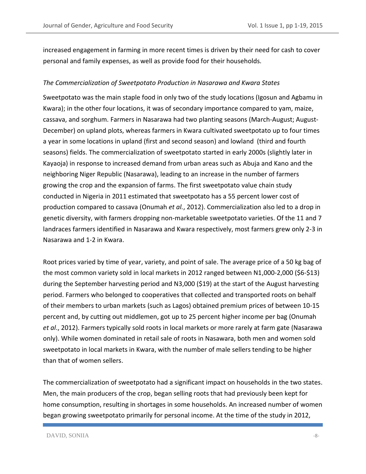increased engagement in farming in more recent times is driven by their need for cash to cover personal and family expenses, as well as provide food for their households.

#### *The Commercialization of Sweetpotato Production in Nasarawa and Kwara States*

Sweetpotato was the main staple food in only two of the study locations (Igosun and Agbamu in Kwara); in the other four locations, it was of secondary importance compared to yam, maize, cassava, and sorghum. Farmers in Nasarawa had two planting seasons (March-August; August-December) on upland plots, whereas farmers in Kwara cultivated sweetpotato up to four times a year in some locations in upland (first and second season) and lowland (third and fourth seasons) fields. The commercialization of sweetpotato started in early 2000s (slightly later in Kayaoja) in response to increased demand from urban areas such as Abuja and Kano and the neighboring Niger Republic (Nasarawa), leading to an increase in the number of farmers growing the crop and the expansion of farms. The first sweetpotato value chain study conducted in Nigeria in 2011 estimated that sweetpotato has a 55 percent lower cost of production compared to cassava (Onumah *et al.*, 2012). Commercialization also led to a drop in genetic diversity, with farmers dropping non-marketable sweetpotato varieties. Of the 11 and 7 landraces farmers identified in Nasarawa and Kwara respectively, most farmers grew only 2-3 in Nasarawa and 1-2 in Kwara.

Root prices varied by time of year, variety, and point of sale. The average price of a 50 kg bag of the most common variety sold in local markets in 2012 ranged between N1,000-2,000 (\$6-\$13) during the September harvesting period and N3,000 (\$19) at the start of the August harvesting period. Farmers who belonged to cooperatives that collected and transported roots on behalf of their members to urban markets (such as Lagos) obtained premium prices of between 10-15 percent and, by cutting out middlemen, got up to 25 percent higher income per bag (Onumah *et al*., 2012). Farmers typically sold roots in local markets or more rarely at farm gate (Nasarawa only). While women dominated in retail sale of roots in Nasawara, both men and women sold sweetpotato in local markets in Kwara, with the number of male sellers tending to be higher than that of women sellers.

The commercialization of sweetpotato had a significant impact on households in the two states. Men, the main producers of the crop, began selling roots that had previously been kept for home consumption, resulting in shortages in some households. An increased number of women began growing sweetpotato primarily for personal income. At the time of the study in 2012,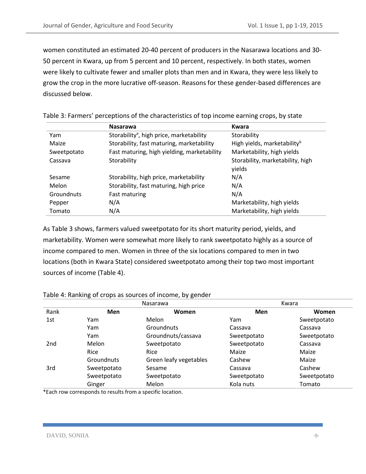women constituted an estimated 20-40 percent of producers in the Nasarawa locations and 30- 50 percent in Kwara, up from 5 percent and 10 percent, respectively. In both states, women were likely to cultivate fewer and smaller plots than men and in Kwara, they were less likely to grow the crop in the more lucrative off-season. Reasons for these gender-based differences are discussed below.

|             | <b>Nasarawa</b>                                      | <b>Kwara</b>                            |
|-------------|------------------------------------------------------|-----------------------------------------|
| Yam         | Storability <sup>a</sup> , high price, marketability | Storability                             |
| Maize       | Storability, fast maturing, marketability            | High yields, marketability <sup>b</sup> |
| Sweetpotato | Fast maturing, high yielding, marketability          | Marketability, high yields              |
| Cassava     | Storability                                          | Storability, marketability, high        |
|             |                                                      | yields                                  |
| Sesame      | Storability, high price, marketability               | N/A                                     |
| Melon       | Storability, fast maturing, high price               | N/A                                     |
| Groundnuts  | Fast maturing                                        | N/A                                     |
| Pepper      | N/A                                                  | Marketability, high yields              |
| Tomato      | N/A                                                  | Marketability, high yields              |

|  |  |  |  | Table 3: Farmers' perceptions of the characteristics of top income earning crops, by state |  |
|--|--|--|--|--------------------------------------------------------------------------------------------|--|
|--|--|--|--|--------------------------------------------------------------------------------------------|--|

As Table 3 shows, farmers valued sweetpotato for its short maturity period, yields, and marketability. Women were somewhat more likely to rank sweetpotato highly as a source of income compared to men. Women in three of the six locations compared to men in two locations (both in Kwara State) considered sweetpotato among their top two most important sources of income (Table 4).

|                 |             | <b>Nasarawa</b>        | Kwara       |             |  |
|-----------------|-------------|------------------------|-------------|-------------|--|
| Rank            | <b>Men</b>  | <b>Women</b>           | Men         | Women       |  |
| 1st             | Yam         | Melon                  | Yam         | Sweetpotato |  |
|                 | Yam         | Groundnuts             | Cassava     | Cassava     |  |
|                 | Yam         | Groundnuts/cassava     | Sweetpotato | Sweetpotato |  |
| 2 <sub>nd</sub> | Melon       | Sweetpotato            | Sweetpotato | Cassava     |  |
|                 | Rice        | Rice                   | Maize       | Maize       |  |
|                 | Groundnuts  | Green leafy vegetables | Cashew      | Maize       |  |
| 3rd             | Sweetpotato | Sesame                 | Cassava     | Cashew      |  |
|                 | Sweetpotato | Sweetpotato            | Sweetpotato | Sweetpotato |  |
|                 | Ginger      | Melon                  | Kola nuts   | Tomato      |  |

Table 4: Ranking of crops as sources of income, by gender

\*Each row corresponds to results from a specific location.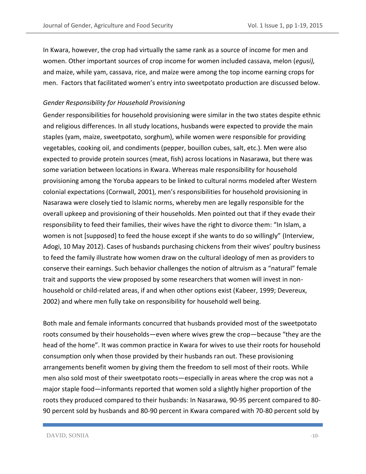In Kwara, however, the crop had virtually the same rank as a source of income for men and women. Other important sources of crop income for women included cassava, melon (*egusi),* and maize, while yam, cassava, rice, and maize were among the top income earning crops for men. Factors that facilitated women's entry into sweetpotato production are discussed below.

# *Gender Responsibility for Household Provisioning*

Gender responsibilities for household provisioning were similar in the two states despite ethnic and religious differences. In all study locations, husbands were expected to provide the main staples (yam, maize, sweetpotato, sorghum), while women were responsible for providing vegetables, cooking oil, and condiments (pepper, bouillon cubes, salt, etc.). Men were also expected to provide protein sources (meat, fish) across locations in Nasarawa, but there was some variation between locations in Kwara. Whereas male responsibility for household provisioning among the Yoruba appears to be linked to cultural norms modeled after Western colonial expectations (Cornwall, 2001), men's responsibilities for household provisioning in Nasarawa were closely tied to Islamic norms, whereby men are legally responsible for the overall upkeep and provisioning of their households. Men pointed out that if they evade their responsibility to feed their families, their wives have the right to divorce them: "In Islam, a women is not [supposed] to feed the house except if she wants to do so willingly" (Interview, Adogi, 10 May 2012). Cases of husbands purchasing chickens from their wives' poultry business to feed the family illustrate how women draw on the cultural ideology of men as providers to conserve their earnings. Such behavior challenges the notion of altruism as a "natural" female trait and supports the view proposed by some researchers that women will invest in nonhousehold or child-related areas, if and when other options exist (Kabeer, 1999; Devereux, 2002) and where men fully take on responsibility for household well being.

Both male and female informants concurred that husbands provided most of the sweetpotato roots consumed by their households—even where wives grew the crop—because "they are the head of the home". It was common practice in Kwara for wives to use their roots for household consumption only when those provided by their husbands ran out. These provisioning arrangements benefit women by giving them the freedom to sell most of their roots. While men also sold most of their sweetpotato roots—especially in areas where the crop was not a major staple food—informants reported that women sold a slightly higher proportion of the roots they produced compared to their husbands: In Nasarawa, 90-95 percent compared to 80- 90 percent sold by husbands and 80-90 percent in Kwara compared with 70-80 percent sold by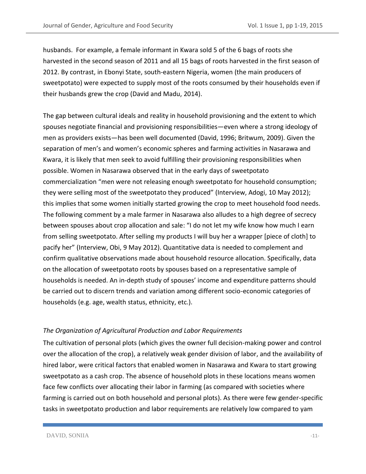husbands. For example, a female informant in Kwara sold 5 of the 6 bags of roots she harvested in the second season of 2011 and all 15 bags of roots harvested in the first season of 2012. By contrast, in Ebonyi State, south-eastern Nigeria, women (the main producers of sweetpotato) were expected to supply most of the roots consumed by their households even if their husbands grew the crop (David and Madu, 2014).

The gap between cultural ideals and reality in household provisioning and the extent to which spouses negotiate financial and provisioning responsibilities—even where a strong ideology of men as providers exists—has been well documented (David, 1996; Britwum, 2009). Given the separation of men's and women's economic spheres and farming activities in Nasarawa and Kwara, it is likely that men seek to avoid fulfilling their provisioning responsibilities when possible. Women in Nasarawa observed that in the early days of sweetpotato commercialization "men were not releasing enough sweetpotato for household consumption; they were selling most of the sweetpotato they produced" (Interview, Adogi, 10 May 2012); this implies that some women initially started growing the crop to meet household food needs. The following comment by a male farmer in Nasarawa also alludes to a high degree of secrecy between spouses about crop allocation and sale: "I do not let my wife know how much I earn from selling sweetpotato. After selling my products I will buy her a wrapper [piece of cloth] to pacify her" (Interview, Obi, 9 May 2012). Quantitative data is needed to complement and confirm qualitative observations made about household resource allocation. Specifically, data on the allocation of sweetpotato roots by spouses based on a representative sample of households is needed. An in-depth study of spouses' income and expenditure patterns should be carried out to discern trends and variation among different socio-economic categories of households (e.g. age, wealth status, ethnicity, etc.).

# *The Organization of Agricultural Production and Labor Requirements*

The cultivation of personal plots (which gives the owner full decision-making power and control over the allocation of the crop), a relatively weak gender division of labor, and the availability of hired labor, were critical factors that enabled women in Nasarawa and Kwara to start growing sweetpotato as a cash crop. The absence of household plots in these locations means women face few conflicts over allocating their labor in farming (as compared with societies where farming is carried out on both household and personal plots). As there were few gender-specific tasks in sweetpotato production and labor requirements are relatively low compared to yam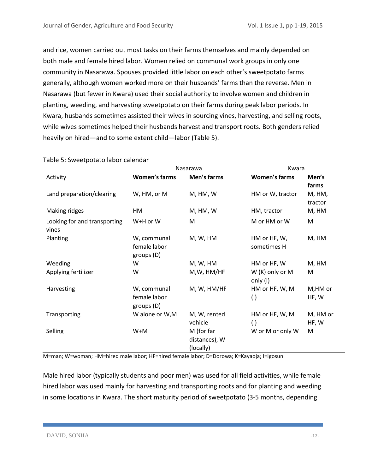and rice, women carried out most tasks on their farms themselves and mainly depended on both male and female hired labor. Women relied on communal work groups in only one community in Nasarawa. Spouses provided little labor on each other's sweetpotato farms generally, although women worked more on their husbands' farms than the reverse. Men in Nasarawa (but fewer in Kwara) used their social authority to involve women and children in planting, weeding, and harvesting sweetpotato on their farms during peak labor periods. In Kwara, husbands sometimes assisted their wives in sourcing vines, harvesting, and selling roots, while wives sometimes helped their husbands harvest and transport roots. Both genders relied heavily on hired—and to some extent child—labor (Table 5).

|                              | Nasarawa             |               | Kwara                |          |  |
|------------------------------|----------------------|---------------|----------------------|----------|--|
| Activity                     | <b>Women's farms</b> | Men's farms   | <b>Women's farms</b> | Men's    |  |
|                              |                      |               |                      | farms    |  |
| Land preparation/clearing    | W, HM, or M          | M, HM, W      | HM or W, tractor     | M, HM,   |  |
|                              |                      |               |                      | tractor  |  |
| Making ridges                | НM                   | M, HM, W      | HM, tractor          | M, HM    |  |
| Looking for and transporting | W+H or W             | M             | M or HM or W         | M        |  |
| vines                        |                      |               |                      |          |  |
| Planting                     | W, communal          | M, W, HM      | HM or HF, W,         | M, HM    |  |
|                              | female labor         |               | sometimes H          |          |  |
|                              | groups(D)            |               |                      |          |  |
| Weeding                      | W                    | M, W, HM      | HM or HF, W          | M, HM    |  |
| Applying fertilizer          | W                    | M,W, HM/HF    | W (K) only or M      | M        |  |
|                              |                      |               | only (I)             |          |  |
| Harvesting                   | W, communal          | M, W, HM/HF   | HM or HF, W, M       | M,HM or  |  |
|                              | female labor         |               | (1)                  | HF, W    |  |
|                              | groups (D)           |               |                      |          |  |
| Transporting                 | W alone or W,M       | M, W, rented  | HM or HF, W, M       | M, HM or |  |
|                              |                      | vehicle       | (1)                  | HF, W    |  |
| Selling                      | $W+M$                | M (for far    | W or M or only W     | M        |  |
|                              |                      | distances), W |                      |          |  |
|                              |                      | (locally)     |                      |          |  |

#### Table 5: Sweetpotato labor calendar

M=man; W=woman; HM=hired male labor; HF=hired female labor; D=Dorowa; K=Kayaoja; I=Igosun

Male hired labor (typically students and poor men) was used for all field activities, while female hired labor was used mainly for harvesting and transporting roots and for planting and weeding in some locations in Kwara. The short maturity period of sweetpotato (3-5 months, depending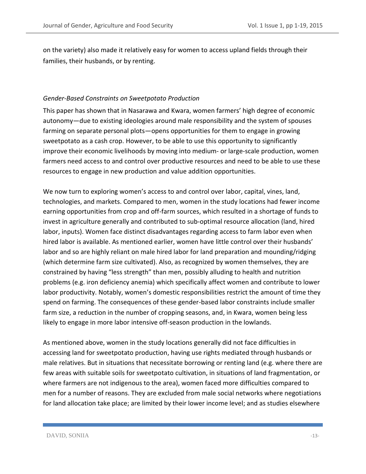on the variety) also made it relatively easy for women to access upland fields through their families, their husbands, or by renting.

#### *Gender-Based Constraints on Sweetpotato Production*

This paper has shown that in Nasarawa and Kwara, women farmers' high degree of economic autonomy—due to existing ideologies around male responsibility and the system of spouses farming on separate personal plots—opens opportunities for them to engage in growing sweetpotato as a cash crop. However, to be able to use this opportunity to significantly improve their economic livelihoods by moving into medium- or large-scale production, women farmers need access to and control over productive resources and need to be able to use these resources to engage in new production and value addition opportunities.

We now turn to exploring women's access to and control over labor, capital, vines, land, technologies, and markets. Compared to men, women in the study locations had fewer income earning opportunities from crop and off-farm sources, which resulted in a shortage of funds to invest in agriculture generally and contributed to sub-optimal resource allocation (land, hired labor, inputs). Women face distinct disadvantages regarding access to farm labor even when hired labor is available. As mentioned earlier, women have little control over their husbands' labor and so are highly reliant on male hired labor for land preparation and mounding/ridging (which determine farm size cultivated). Also, as recognized by women themselves, they are constrained by having "less strength" than men, possibly alluding to health and nutrition problems (e.g. iron deficiency anemia) which specifically affect women and contribute to lower labor productivity. Notably, women's domestic responsibilities restrict the amount of time they spend on farming. The consequences of these gender-based labor constraints include smaller farm size, a reduction in the number of cropping seasons, and, in Kwara, women being less likely to engage in more labor intensive off-season production in the lowlands.

As mentioned above, women in the study locations generally did not face difficulties in accessing land for sweetpotato production, having use rights mediated through husbands or male relatives. But in situations that necessitate borrowing or renting land (e.g. where there are few areas with suitable soils for sweetpotato cultivation, in situations of land fragmentation, or where farmers are not indigenous to the area), women faced more difficulties compared to men for a number of reasons. They are excluded from male social networks where negotiations for land allocation take place; are limited by their lower income level; and as studies elsewhere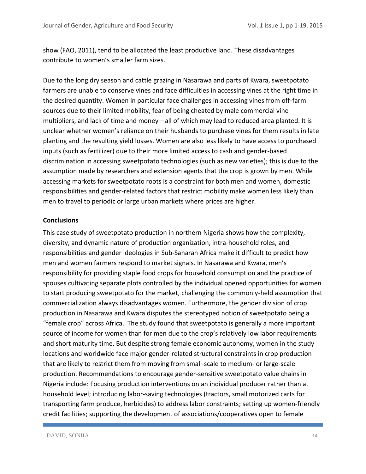show (FAO, 2011), tend to be allocated the least productive land. These disadvantages contribute to women's smaller farm sizes.

Due to the long dry season and cattle grazing in Nasarawa and parts of Kwara, sweetpotato farmers are unable to conserve vines and face difficulties in accessing vines at the right time in the desired quantity. Women in particular face challenges in accessing vines from off-farm sources due to their limited mobility, fear of being cheated by male commercial vine multipliers, and lack of time and money—all of which may lead to reduced area planted. It is unclear whether women's reliance on their husbands to purchase vines for them results in late planting and the resulting yield losses. Women are also less likely to have access to purchased inputs (such as fertilizer) due to their more limited access to cash and gender-based discrimination in accessing sweetpotato technologies (such as new varieties); this is due to the assumption made by researchers and extension agents that the crop is grown by men. While accessing markets for sweetpotato roots is a constraint for both men and women, domestic responsibilities and gender-related factors that restrict mobility make women less likely than men to travel to periodic or large urban markets where prices are higher.

#### **Conclusions**

This case study of sweetpotato production in northern Nigeria shows how the complexity, diversity, and dynamic nature of production organization, intra-household roles, and responsibilities and gender ideologies in Sub-Saharan Africa make it difficult to predict how men and women farmers respond to market signals. In Nasarawa and Kwara, men's responsibility for providing staple food crops for household consumption and the practice of spouses cultivating separate plots controlled by the individual opened opportunities for women to start producing sweetpotato for the market, challenging the commonly-held assumption that commercialization always disadvantages women. Furthermore, the gender division of crop production in Nasarawa and Kwara disputes the stereotyped notion of sweetpotato being a "female crop" across Africa. The study found that sweetpotato is generally a more important source of income for women than for men due to the crop's relatively low labor requirements and short maturity time. But despite strong female economic autonomy, women in the study locations and worldwide face major gender-related structural constraints in crop production that are likely to restrict them from moving from small-scale to medium- or large-scale production. Recommendations to encourage gender-sensitive sweetpotato value chains in Nigeria include: Focusing production interventions on an individual producer rather than at household level; introducing labor-saving technologies (tractors, small motorized carts for transporting farm produce, herbicides) to address labor constraints; setting up women-friendly credit facilities; supporting the development of associations/cooperatives open to female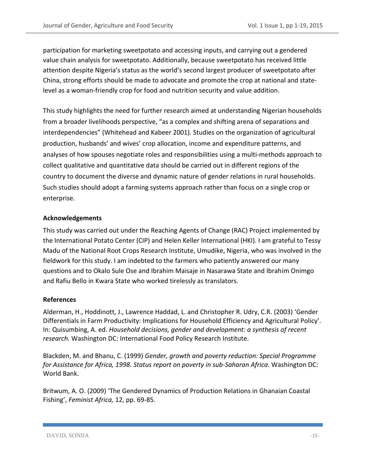participation for marketing sweetpotato and accessing inputs, and carrying out a gendered value chain analysis for sweetpotato. Additionally, because sweetpotato has received little attention despite Nigeria's status as the world's second largest producer of sweetpotato after China, strong efforts should be made to advocate and promote the crop at national and statelevel as a woman-friendly crop for food and nutrition security and value addition.

This study highlights the need for further research aimed at understanding Nigerian households from a broader livelihoods perspective, "as a complex and shifting arena of separations and interdependencies" (Whitehead and Kabeer 2001). Studies on the organization of agricultural production, husbands' and wives' crop allocation, income and expenditure patterns, and analyses of how spouses negotiate roles and responsibilities using a multi-methods approach to collect qualitative and quantitative data should be carried out in different regions of the country to document the diverse and dynamic nature of gender relations in rural households. Such studies should adopt a farming systems approach rather than focus on a single crop or enterprise.

# **Acknowledgements**

This study was carried out under the Reaching Agents of Change (RAC) Project implemented by the International Potato Center (CIP) and Helen Keller International (HKI). I am grateful to Tessy Madu of the National Root Crops Research Institute, Umudike, Nigeria, who was involved in the fieldwork for this study. I am indebted to the farmers who patiently answered our many questions and to Okalo Sule Ose and Ibrahim Maisaje in Nasarawa State and Ibrahim Onimgo and Rafiu Bello in Kwara State who worked tirelessly as translators.

# **References**

Alderman, H., Hoddinott, J., Lawrence Haddad, L. and Christopher R. Udry, C.R. (2003) 'Gender Differentials in Farm Productivity: Implications for Household Efficiency and Agricultural Policy'. In: Quisumbing, A. ed. *Household decisions, gender and development: a synthesis of recent research.* Washington DC: International Food Policy Research Institute.

Blackden, M. and Bhanu, C. (1999) *Gender, growth and poverty reduction: Special Programme for Assistance for Africa, 1998. Status report on poverty in sub-Saharan Africa*. Washington DC: World Bank.

Britwum, A. O. (2009) 'The Gendered Dynamics of Production Relations in Ghanaian Coastal Fishing', *Feminist Africa,* 12, pp. 69-85.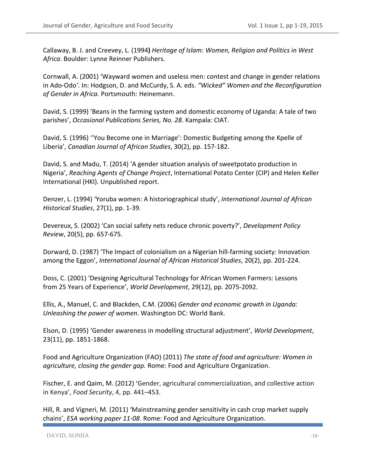Callaway, B. J. and Creevey, L. (1994**)** *Heritage of Islam: Women, Religion and Politics in West Africa*. Boulder: Lynne Reinner Publishers.

Cornwall, A. (2001) '[Wayward women and useless men: contest and change in gender relations](http://sro.sussex.ac.uk/10511/)  [in Ado-Odo](http://sro.sussex.ac.uk/10511/)*'.* In: Hodgson, D. and McCurdy, S. A. eds. *"Wicked" Women and the Reconfiguration of Gender in Africa.* Portsmouth: Heinemann.

David, S. (1999) 'Beans in the farming system and domestic economy of Uganda: A tale of two parishes', *Occasional Publications Series, No. 28*. Kampala: CIAT.

David, S. (1996) ''You Become one in Marriage': Domestic Budgeting among the Kpelle of Liberia', *Canadian Journal of African Studies*, 30(2), pp. 157-182.

David, S. and Madu, T. (2014) 'A gender situation analysis of sweetpotato production in Nigeria', *Reaching Agents of Change Project*, International Potato Center (CIP) and Helen Keller International (HKI). Unpublished report.

Denzer, L. (1994) 'Yoruba women: A historiographical study', *International Journal of African Historical Studies*, 27(1), pp. 1-39.

Devereux, S. (2002) 'Can social safety nets reduce chronic poverty?', *Development Policy Review*, 20(5), pp. 657-675.

Dorward, D. (1987) 'The Impact of colonialism on a Nigerian hill-farming society: Innovation among the Eggon', *International Journal of African Historical Studies*, 20(2), pp. 201-224.

Doss, C. (2001) 'Designing Agricultural Technology for African Women Farmers: Lessons from 25 Years of Experience', *World Development*, 29(12), pp. 2075-2092.

Ellis, A., Manuel, C. and Blackden, C.M. (2006) *Gender and economic growth in Uganda: Unleashing the power of women*. Washington DC: World Bank.

Elson, D. (1995) 'Gender awareness in modelling structural adjustment', *World Development*, 23(11), pp. 1851-1868.

Food and Agriculture Organization (FAO) (2011) *The state of food and agriculture: Women in agriculture, closing the gender gap.* Rome: Food and Agriculture Organization.

Fischer, E. and Qaim, M. (2012) **'**Gender, agricultural commercialization, and collective action in Kenya', *Food Security*, 4, pp. 441–453.

Hill, R. and Vigneri, M. (2011) 'Mainstreaming gender sensitivity in cash crop market supply chains', *ESA working paper 11-08*. Rome: Food and Agriculture Organization.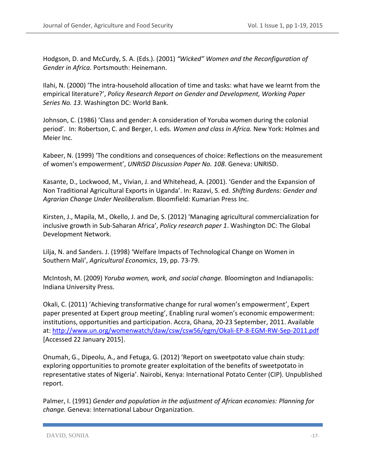Hodgson, D. and McCurdy, S. A. (Eds.). (2001) *"Wicked" Women and the Reconfiguration of Gender in Africa.* Portsmouth: Heinemann.

Ilahi, N. (2000) 'The intra-household allocation of time and tasks: what have we learnt from the empirical literature?', *Policy Research Report on Gender and Development, Working Paper Series No. 13*. Washington DC: World Bank.

Johnson, C. (1986) 'Class and gender: A consideration of Yoruba women during the colonial period'. In: Robertson, C. and Berger, I. eds. *Women and class in Africa.* New York: Holmes and Meier Inc.

Kabeer, N. (1999) 'The conditions and consequences of choice: Reflections on the measurement of women's empowerment', *UNRISD Discussion Paper No. 108*. Geneva: UNRISD.

Kasante, D., Lockwood, M., Vivian, J. and Whitehead, A. (2001). 'Gender and the Expansion of Non Traditional Agricultural Exports in Uganda'. In: Razavi, S. ed. *Shifting Burdens: Gender and Agrarian Change Under Neoliberalism*. Bloomfield: Kumarian Press Inc.

Kirsten, J., Mapila, M., Okello, J. and De, S. (2012) 'Managing agricultural commercialization for inclusive growth in Sub-Saharan Africa', *Policy research paper 1*. Washington DC: The Global Development Network.

Lilja, N. and Sanders. J. (1998) 'Welfare Impacts of Technological Change on Women in Southern Mali', *Agricultural Economics*, 19, pp. 73‐79.

McIntosh, M. (2009) *Yoruba women, work, and social change.* Bloomington and Indianapolis: Indiana University Press.

Okali, C. (2011) 'Achieving transformative change for rural women's empowerment', Expert paper presented at Expert group meeting', Enabling rural women's economic empowerment: institutions, opportunities and participation. Accra, Ghana, 20-23 September, 2011. Available at[: http://www.un.org/womenwatch/daw/csw/csw56/egm/Okali-EP-8-EGM-RW-Sep-2011.pdf](http://www.un.org/womenwatch/daw/csw/csw56/egm/Okali-EP-8-EGM-RW-Sep-2011.pdf) [Accessed 22 January 2015].

Onumah, G., Dipeolu, A., and Fetuga, G. (2012) 'Report on sweetpotato value chain study: exploring opportunities to promote greater exploitation of the benefits of sweetpotato in representative states of Nigeria'. Nairobi, Kenya: International Potato Center (CIP). Unpublished report.

Palmer, I. (1991) *Gender and population in the adjustment of African economies: Planning for change.* Geneva: International Labour Organization.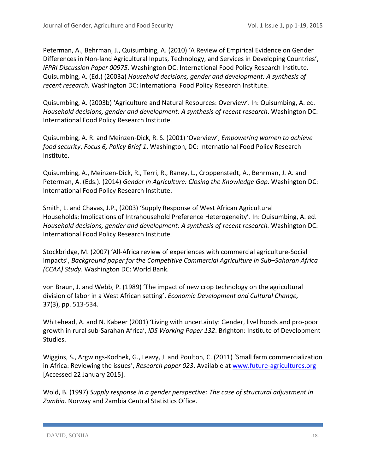Peterman, A., Behrman, J., Quisumbing, A. (2010) 'A Review of Empirical Evidence on Gender Differences in Non-land Agricultural Inputs, Technology, and Services in Developing Countries', *IFPRI Discussion Paper 00975*. Washington DC: International Food Policy Research Institute. Quisumbing, A. (Ed.) (2003a) *Household decisions, gender and development: A synthesis of recent research.* Washington DC: International Food Policy Research Institute.

Quisumbing, A. (2003b) 'Agriculture and Natural Resources: Overview'. In: Quisumbing, A. ed. *Household decisions, gender and development: A synthesis of recent research*. Washington DC: International Food Policy Research Institute.

Quisumbing, A. R. and Meinzen-Dick, R. S. (2001) 'Overview', *Empowering women to achieve food security*, *Focus 6, Policy Brief 1*. Washington, DC: International Food Policy Research Institute.

Quisumbing, A., Meinzen-Dick, R., Terri, R., Raney, L., Croppenstedt, A., Behrman, J. A. and Peterman, A. (Eds.). (2014) *Gender in Agriculture: Closing the Knowledge Gap*. Washington DC: International Food Policy Research Institute.

Smith, L. and Chavas, J.P., (2003) 'Supply Response of West African Agricultural Households: Implications of Intrahousehold Preference Heterogeneity'. In: Quisumbing, A. ed. *Household decisions, gender and development: A synthesis of recent research.* Washington DC: International Food Policy Research Institute.

Stockbridge, M. (2007) 'All-Africa review of experiences with commercial agriculture-Social Impacts', *Background paper for the Competitive Commercial Agriculture in Sub–Saharan Africa (CCAA) Study*. Washington DC: World Bank.

von Braun, J. and Webb, P. (1989) 'The impact of new crop technology on the agricultural division of labor in a West African setting', *Economic Development and Cultural Change,* 37(3), pp. 513-534.

Whitehead, A. and N. Kabeer (2001) 'Living with uncertainty: Gender, livelihoods and pro-poor growth in rural sub-Sarahan Africa', *IDS Working Paper 132*. Brighton: Institute of Development Studies.

Wiggins, S., Argwings-Kodhek, G., Leavy, J. and Poulton, C. (2011) 'Small farm commercialization in Africa: Reviewing the issues', *Research paper 023*. Available at [www.future-agricultures.org](http://www.future-agricultures.org/) [Accessed 22 January 2015].

Wold, B. (1997) *Supply response in a gender perspective: The case of structural adjustment in Zambia*. Norway and Zambia Central Statistics Office.